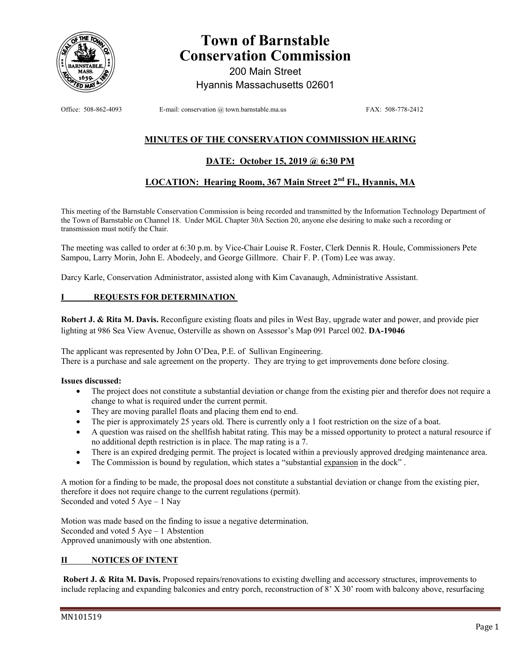

# **Town of Barnstable Conservation Commission**

200 Main Street Hyannis Massachusetts 02601

Office: 508-862-4093 E-mail: conservation @ town.barnstable.ma.us FAX: 508-778-2412

## **MINUTES OF THE CONSERVATION COMMISSION HEARING**

### **DATE: October 15, 2019 @ 6:30 PM**

## **LOCATION: Hearing Room, 367 Main Street 2nd Fl., Hyannis, MA**

This meeting of the Barnstable Conservation Commission is being recorded and transmitted by the Information Technology Department of the Town of Barnstable on Channel 18. Under MGL Chapter 30A Section 20, anyone else desiring to make such a recording or transmission must notify the Chair.

The meeting was called to order at 6:30 p.m. by Vice-Chair Louise R. Foster, Clerk Dennis R. Houle, Commissioners Pete Sampou, Larry Morin, John E. Abodeely, and George Gillmore. Chair F. P. (Tom) Lee was away.

Darcy Karle, Conservation Administrator, assisted along with Kim Cavanaugh, Administrative Assistant.

#### **REQUESTS FOR DETERMINATION**

**Robert J. & Rita M. Davis.** Reconfigure existing floats and piles in West Bay, upgrade water and power, and provide pier lighting at 986 Sea View Avenue, Osterville as shown on Assessor's Map 091 Parcel 002. **DA-19046**

The applicant was represented by John O'Dea, P.E. of Sullivan Engineering. There is a purchase and sale agreement on the property. They are trying to get improvements done before closing.

#### **Issues discussed:**

- The project does not constitute a substantial deviation or change from the existing pier and therefor does not require a change to what is required under the current permit.
- They are moving parallel floats and placing them end to end.
- The pier is approximately 25 years old. There is currently only a 1 foot restriction on the size of a boat.
- A question was raised on the shellfish habitat rating. This may be a missed opportunity to protect a natural resource if no additional depth restriction is in place. The map rating is a 7.
- There is an expired dredging permit. The project is located within a previously approved dredging maintenance area.
- The Commission is bound by regulation, which states a "substantial expansion in the dock".

A motion for a finding to be made, the proposal does not constitute a substantial deviation or change from the existing pier, therefore it does not require change to the current regulations (permit). Seconded and voted 5 Aye – 1 Nay

Motion was made based on the finding to issue a negative determination. Seconded and voted 5 Aye – 1 Abstention Approved unanimously with one abstention.

#### **II NOTICES OF INTENT**

 **Robert J. & Rita M. Davis.** Proposed repairs/renovations to existing dwelling and accessory structures, improvements to include replacing and expanding balconies and entry porch, reconstruction of 8' X 30' room with balcony above, resurfacing